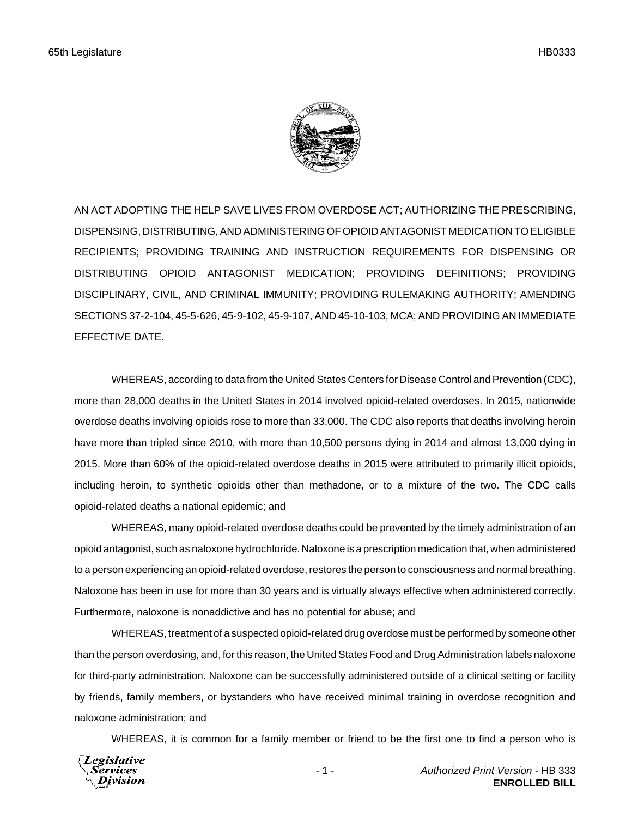

AN ACT ADOPTING THE HELP SAVE LIVES FROM OVERDOSE ACT; AUTHORIZING THE PRESCRIBING, DISPENSING, DISTRIBUTING, AND ADMINISTERING OF OPIOID ANTAGONIST MEDICATION TO ELIGIBLE RECIPIENTS; PROVIDING TRAINING AND INSTRUCTION REQUIREMENTS FOR DISPENSING OR DISTRIBUTING OPIOID ANTAGONIST MEDICATION; PROVIDING DEFINITIONS; PROVIDING DISCIPLINARY, CIVIL, AND CRIMINAL IMMUNITY; PROVIDING RULEMAKING AUTHORITY; AMENDING SECTIONS 37-2-104, 45-5-626, 45-9-102, 45-9-107, AND 45-10-103, MCA; AND PROVIDING AN IMMEDIATE EFFECTIVE DATE.

WHEREAS, according to data from the United States Centers for Disease Control and Prevention (CDC), more than 28,000 deaths in the United States in 2014 involved opioid-related overdoses. In 2015, nationwide overdose deaths involving opioids rose to more than 33,000. The CDC also reports that deaths involving heroin have more than tripled since 2010, with more than 10,500 persons dying in 2014 and almost 13,000 dying in 2015. More than 60% of the opioid-related overdose deaths in 2015 were attributed to primarily illicit opioids, including heroin, to synthetic opioids other than methadone, or to a mixture of the two. The CDC calls opioid-related deaths a national epidemic; and

WHEREAS, many opioid-related overdose deaths could be prevented by the timely administration of an opioid antagonist, such as naloxone hydrochloride. Naloxone is a prescription medication that, when administered to a person experiencing an opioid-related overdose, restores the person to consciousness and normal breathing. Naloxone has been in use for more than 30 years and is virtually always effective when administered correctly. Furthermore, naloxone is nonaddictive and has no potential for abuse; and

WHEREAS, treatment of a suspected opioid-related drug overdose must be performed by someone other than the person overdosing, and, for this reason, the United States Food and Drug Administration labels naloxone for third-party administration. Naloxone can be successfully administered outside of a clinical setting or facility by friends, family members, or bystanders who have received minimal training in overdose recognition and naloxone administration; and

WHEREAS, it is common for a family member or friend to be the first one to find a person who is

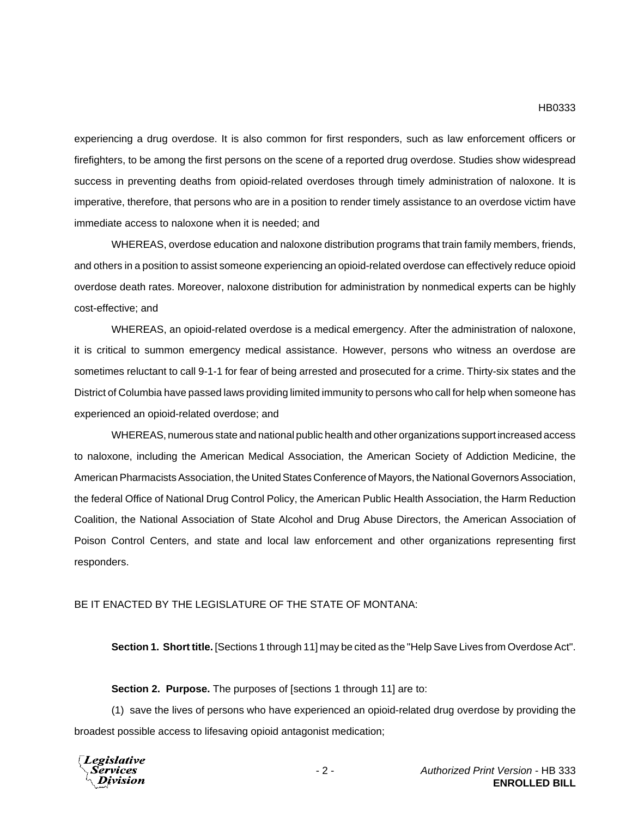experiencing a drug overdose. It is also common for first responders, such as law enforcement officers or firefighters, to be among the first persons on the scene of a reported drug overdose. Studies show widespread success in preventing deaths from opioid-related overdoses through timely administration of naloxone. It is imperative, therefore, that persons who are in a position to render timely assistance to an overdose victim have immediate access to naloxone when it is needed; and

WHEREAS, overdose education and naloxone distribution programs that train family members, friends, and others in a position to assist someone experiencing an opioid-related overdose can effectively reduce opioid overdose death rates. Moreover, naloxone distribution for administration by nonmedical experts can be highly cost-effective; and

WHEREAS, an opioid-related overdose is a medical emergency. After the administration of naloxone, it is critical to summon emergency medical assistance. However, persons who witness an overdose are sometimes reluctant to call 9-1-1 for fear of being arrested and prosecuted for a crime. Thirty-six states and the District of Columbia have passed laws providing limited immunity to persons who call for help when someone has experienced an opioid-related overdose; and

WHEREAS, numerous state and national public health and other organizations support increased access to naloxone, including the American Medical Association, the American Society of Addiction Medicine, the American Pharmacists Association, the United States Conference of Mayors, the National Governors Association, the federal Office of National Drug Control Policy, the American Public Health Association, the Harm Reduction Coalition, the National Association of State Alcohol and Drug Abuse Directors, the American Association of Poison Control Centers, and state and local law enforcement and other organizations representing first responders.

### BE IT ENACTED BY THE LEGISLATURE OF THE STATE OF MONTANA:

**Section 1. Short title.** [Sections 1 through 11] may be cited as the "Help Save Lives from Overdose Act".

#### **Section 2. Purpose.** The purposes of [sections 1 through 11] are to:

(1) save the lives of persons who have experienced an opioid-related drug overdose by providing the broadest possible access to lifesaving opioid antagonist medication;

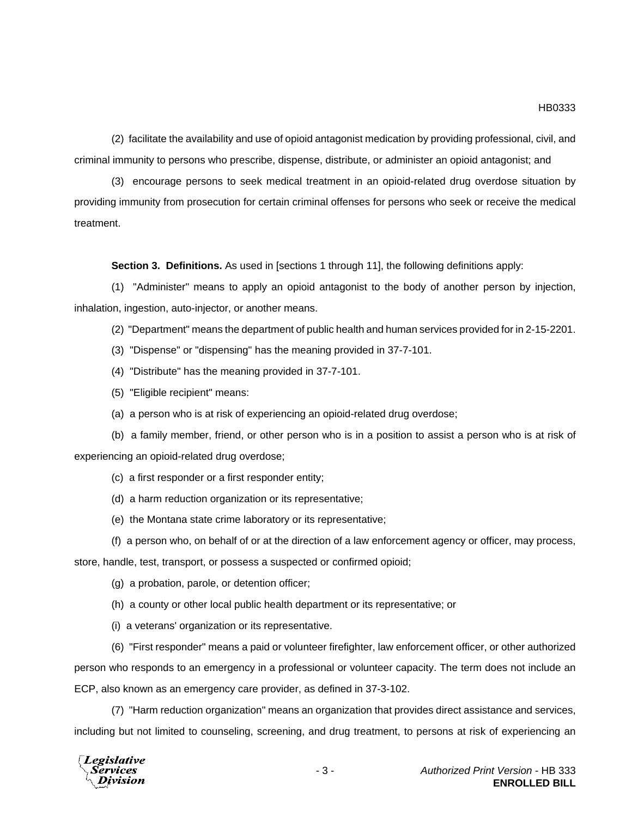(2) facilitate the availability and use of opioid antagonist medication by providing professional, civil, and criminal immunity to persons who prescribe, dispense, distribute, or administer an opioid antagonist; and

(3) encourage persons to seek medical treatment in an opioid-related drug overdose situation by providing immunity from prosecution for certain criminal offenses for persons who seek or receive the medical treatment.

**Section 3. Definitions.** As used in [sections 1 through 11], the following definitions apply:

(1) "Administer" means to apply an opioid antagonist to the body of another person by injection, inhalation, ingestion, auto-injector, or another means.

(2) "Department" means the department of public health and human services provided for in 2-15-2201.

(3) "Dispense" or "dispensing" has the meaning provided in 37-7-101.

- (4) "Distribute" has the meaning provided in 37-7-101.
- (5) "Eligible recipient" means:
- (a) a person who is at risk of experiencing an opioid-related drug overdose;

(b) a family member, friend, or other person who is in a position to assist a person who is at risk of experiencing an opioid-related drug overdose;

- (c) a first responder or a first responder entity;
- (d) a harm reduction organization or its representative;
- (e) the Montana state crime laboratory or its representative;
- (f) a person who, on behalf of or at the direction of a law enforcement agency or officer, may process,

store, handle, test, transport, or possess a suspected or confirmed opioid;

- (g) a probation, parole, or detention officer;
- (h) a county or other local public health department or its representative; or
- (i) a veterans' organization or its representative.

(6) "First responder" means a paid or volunteer firefighter, law enforcement officer, or other authorized person who responds to an emergency in a professional or volunteer capacity. The term does not include an ECP, also known as an emergency care provider, as defined in 37-3-102.

(7) "Harm reduction organization" means an organization that provides direct assistance and services, including but not limited to counseling, screening, and drug treatment, to persons at risk of experiencing an

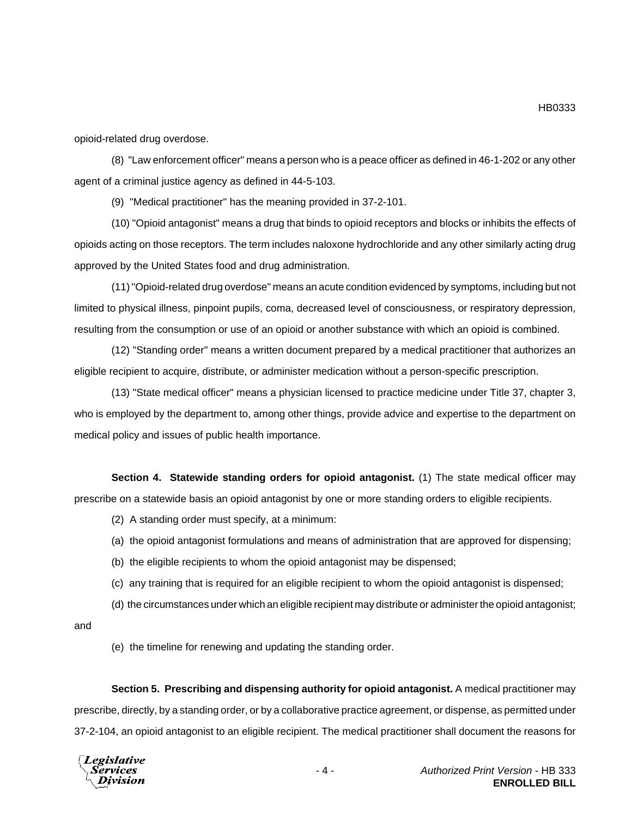opioid-related drug overdose.

(8) "Law enforcement officer" means a person who is a peace officer as defined in 46-1-202 or any other agent of a criminal justice agency as defined in 44-5-103.

(9) "Medical practitioner" has the meaning provided in 37-2-101.

(10) "Opioid antagonist" means a drug that binds to opioid receptors and blocks or inhibits the effects of opioids acting on those receptors. The term includes naloxone hydrochloride and any other similarly acting drug approved by the United States food and drug administration.

(11) "Opioid-related drug overdose" means an acute condition evidenced by symptoms, including but not limited to physical illness, pinpoint pupils, coma, decreased level of consciousness, or respiratory depression, resulting from the consumption or use of an opioid or another substance with which an opioid is combined.

(12) "Standing order" means a written document prepared by a medical practitioner that authorizes an eligible recipient to acquire, distribute, or administer medication without a person-specific prescription.

(13) "State medical officer" means a physician licensed to practice medicine under Title 37, chapter 3, who is employed by the department to, among other things, provide advice and expertise to the department on medical policy and issues of public health importance.

**Section 4. Statewide standing orders for opioid antagonist.** (1) The state medical officer may prescribe on a statewide basis an opioid antagonist by one or more standing orders to eligible recipients.

(2) A standing order must specify, at a minimum:

(a) the opioid antagonist formulations and means of administration that are approved for dispensing;

- (b) the eligible recipients to whom the opioid antagonist may be dispensed;
- (c) any training that is required for an eligible recipient to whom the opioid antagonist is dispensed;
- (d) the circumstances under which an eligible recipient may distribute or administer the opioid antagonist;

and

(e) the timeline for renewing and updating the standing order.

**Section 5. Prescribing and dispensing authority for opioid antagonist.** A medical practitioner may prescribe, directly, by a standing order, or by a collaborative practice agreement, or dispense, as permitted under 37-2-104, an opioid antagonist to an eligible recipient. The medical practitioner shall document the reasons for



HB0333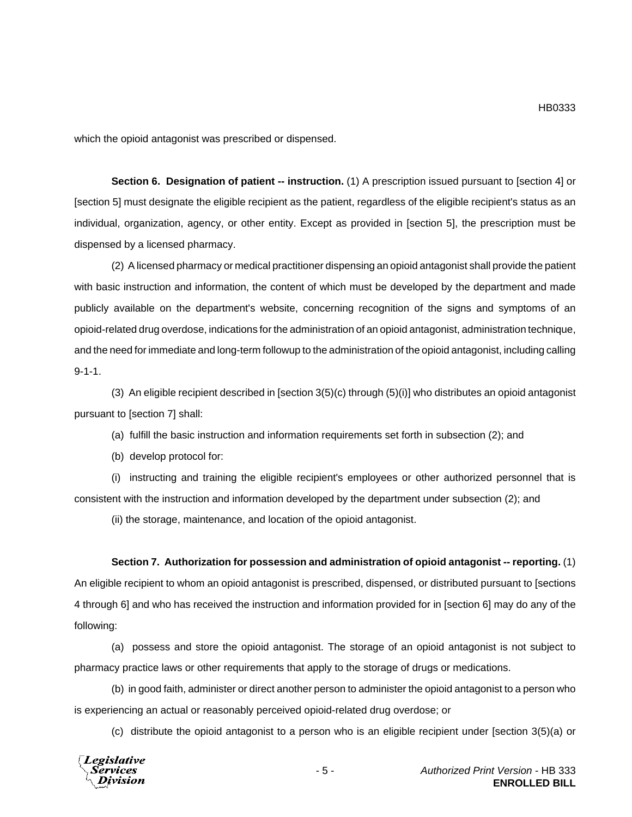which the opioid antagonist was prescribed or dispensed.

**Section 6. Designation of patient -- instruction.** (1) A prescription issued pursuant to [section 4] or [section 5] must designate the eligible recipient as the patient, regardless of the eligible recipient's status as an individual, organization, agency, or other entity. Except as provided in [section 5], the prescription must be dispensed by a licensed pharmacy.

(2) A licensed pharmacy or medical practitioner dispensing an opioid antagonist shall provide the patient with basic instruction and information, the content of which must be developed by the department and made publicly available on the department's website, concerning recognition of the signs and symptoms of an opioid-related drug overdose, indications for the administration of an opioid antagonist, administration technique, and the need for immediate and long-term followup to the administration of the opioid antagonist, including calling 9-1-1.

(3) An eligible recipient described in [section 3(5)(c) through (5)(i)] who distributes an opioid antagonist pursuant to [section 7] shall:

(a) fulfill the basic instruction and information requirements set forth in subsection (2); and

(b) develop protocol for:

(i) instructing and training the eligible recipient's employees or other authorized personnel that is consistent with the instruction and information developed by the department under subsection (2); and

(ii) the storage, maintenance, and location of the opioid antagonist.

### **Section 7. Authorization for possession and administration of opioid antagonist -- reporting.** (1)

An eligible recipient to whom an opioid antagonist is prescribed, dispensed, or distributed pursuant to [sections 4 through 6] and who has received the instruction and information provided for in [section 6] may do any of the following:

(a) possess and store the opioid antagonist. The storage of an opioid antagonist is not subject to pharmacy practice laws or other requirements that apply to the storage of drugs or medications.

(b) in good faith, administer or direct another person to administer the opioid antagonist to a person who is experiencing an actual or reasonably perceived opioid-related drug overdose; or

(c) distribute the opioid antagonist to a person who is an eligible recipient under [section 3(5)(a) or

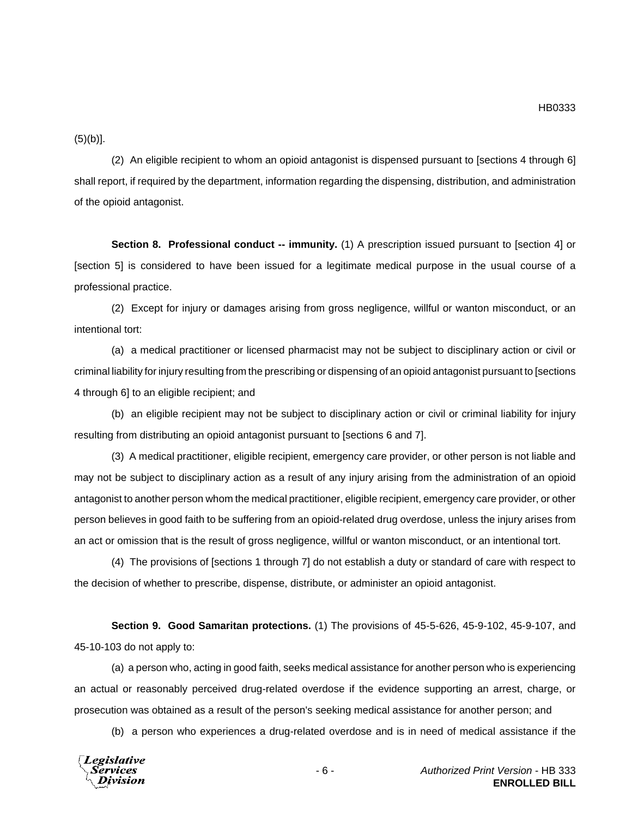HB0333

 $(5)(b)$ ].

(2) An eligible recipient to whom an opioid antagonist is dispensed pursuant to [sections 4 through 6] shall report, if required by the department, information regarding the dispensing, distribution, and administration of the opioid antagonist.

**Section 8. Professional conduct -- immunity.** (1) A prescription issued pursuant to [section 4] or [section 5] is considered to have been issued for a legitimate medical purpose in the usual course of a professional practice.

(2) Except for injury or damages arising from gross negligence, willful or wanton misconduct, or an intentional tort:

(a) a medical practitioner or licensed pharmacist may not be subject to disciplinary action or civil or criminal liability for injury resulting from the prescribing or dispensing of an opioid antagonist pursuant to [sections 4 through 6] to an eligible recipient; and

(b) an eligible recipient may not be subject to disciplinary action or civil or criminal liability for injury resulting from distributing an opioid antagonist pursuant to [sections 6 and 7].

(3) A medical practitioner, eligible recipient, emergency care provider, or other person is not liable and may not be subject to disciplinary action as a result of any injury arising from the administration of an opioid antagonist to another person whom the medical practitioner, eligible recipient, emergency care provider, or other person believes in good faith to be suffering from an opioid-related drug overdose, unless the injury arises from an act or omission that is the result of gross negligence, willful or wanton misconduct, or an intentional tort.

(4) The provisions of [sections 1 through 7] do not establish a duty or standard of care with respect to the decision of whether to prescribe, dispense, distribute, or administer an opioid antagonist.

**Section 9. Good Samaritan protections.** (1) The provisions of 45-5-626, 45-9-102, 45-9-107, and 45-10-103 do not apply to:

(a) a person who, acting in good faith, seeks medical assistance for another person who is experiencing an actual or reasonably perceived drug-related overdose if the evidence supporting an arrest, charge, or prosecution was obtained as a result of the person's seeking medical assistance for another person; and

(b) a person who experiences a drug-related overdose and is in need of medical assistance if the

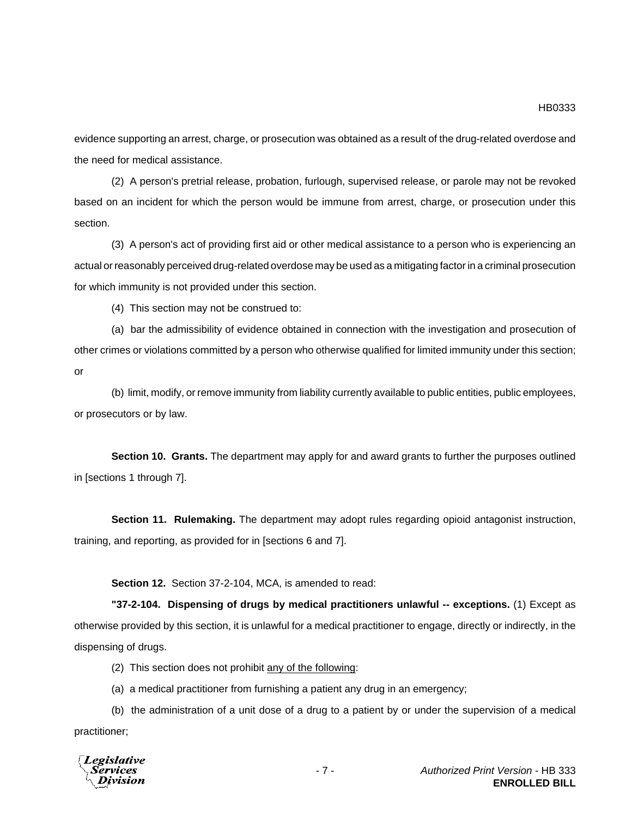evidence supporting an arrest, charge, or prosecution was obtained as a result of the drug-related overdose and the need for medical assistance.

(2) A person's pretrial release, probation, furlough, supervised release, or parole may not be revoked based on an incident for which the person would be immune from arrest, charge, or prosecution under this section.

(3) A person's act of providing first aid or other medical assistance to a person who is experiencing an actual or reasonably perceived drug-related overdose may be used as a mitigating factor in a criminal prosecution for which immunity is not provided under this section.

(4) This section may not be construed to:

(a) bar the admissibility of evidence obtained in connection with the investigation and prosecution of other crimes or violations committed by a person who otherwise qualified for limited immunity under this section; or

(b) limit, modify, or remove immunity from liability currently available to public entities, public employees, or prosecutors or by law.

**Section 10. Grants.** The department may apply for and award grants to further the purposes outlined in [sections 1 through 7].

**Section 11. Rulemaking.** The department may adopt rules regarding opioid antagonist instruction, training, and reporting, as provided for in [sections 6 and 7].

**Section 12.** Section 37-2-104, MCA, is amended to read:

**"37-2-104. Dispensing of drugs by medical practitioners unlawful -- exceptions.** (1) Except as otherwise provided by this section, it is unlawful for a medical practitioner to engage, directly or indirectly, in the dispensing of drugs.

(2) This section does not prohibit any of the following:

(a) a medical practitioner from furnishing a patient any drug in an emergency;

(b) the administration of a unit dose of a drug to a patient by or under the supervision of a medical practitioner;

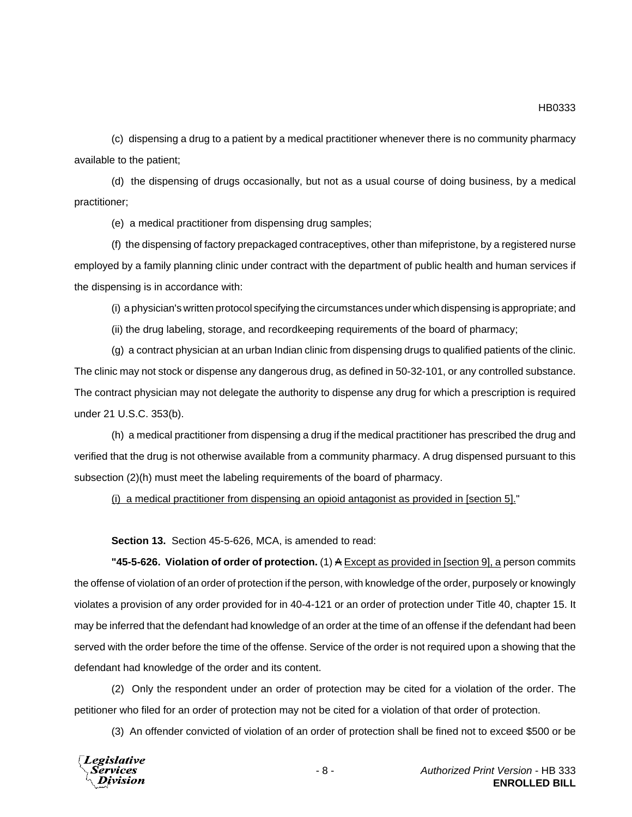HB0333

(c) dispensing a drug to a patient by a medical practitioner whenever there is no community pharmacy available to the patient;

(d) the dispensing of drugs occasionally, but not as a usual course of doing business, by a medical practitioner;

(e) a medical practitioner from dispensing drug samples;

(f) the dispensing of factory prepackaged contraceptives, other than mifepristone, by a registered nurse employed by a family planning clinic under contract with the department of public health and human services if the dispensing is in accordance with:

(i) a physician's written protocol specifying the circumstances under which dispensing is appropriate; and

(ii) the drug labeling, storage, and recordkeeping requirements of the board of pharmacy;

(g) a contract physician at an urban Indian clinic from dispensing drugs to qualified patients of the clinic. The clinic may not stock or dispense any dangerous drug, as defined in 50-32-101, or any controlled substance. The contract physician may not delegate the authority to dispense any drug for which a prescription is required under 21 U.S.C. 353(b).

(h) a medical practitioner from dispensing a drug if the medical practitioner has prescribed the drug and verified that the drug is not otherwise available from a community pharmacy. A drug dispensed pursuant to this subsection (2)(h) must meet the labeling requirements of the board of pharmacy.

(i) a medical practitioner from dispensing an opioid antagonist as provided in [section 5]."

**Section 13.** Section 45-5-626, MCA, is amended to read:

**"45-5-626. Violation of order of protection.** (1) A Except as provided in [section 9], a person commits the offense of violation of an order of protection if the person, with knowledge of the order, purposely or knowingly violates a provision of any order provided for in 40-4-121 or an order of protection under Title 40, chapter 15. It may be inferred that the defendant had knowledge of an order at the time of an offense if the defendant had been served with the order before the time of the offense. Service of the order is not required upon a showing that the defendant had knowledge of the order and its content.

(2) Only the respondent under an order of protection may be cited for a violation of the order. The petitioner who filed for an order of protection may not be cited for a violation of that order of protection.

(3) An offender convicted of violation of an order of protection shall be fined not to exceed \$500 or be

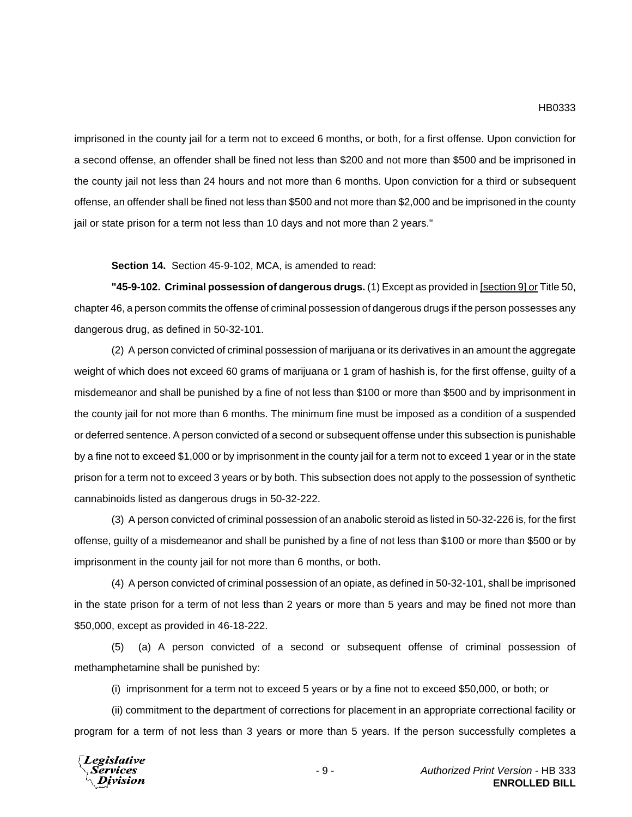imprisoned in the county jail for a term not to exceed 6 months, or both, for a first offense. Upon conviction for a second offense, an offender shall be fined not less than \$200 and not more than \$500 and be imprisoned in the county jail not less than 24 hours and not more than 6 months. Upon conviction for a third or subsequent offense, an offender shall be fined not less than \$500 and not more than \$2,000 and be imprisoned in the county jail or state prison for a term not less than 10 days and not more than 2 years."

**Section 14.** Section 45-9-102, MCA, is amended to read:

**"45-9-102. Criminal possession of dangerous drugs.** (1) Except as provided in [section 9] or Title 50, chapter 46, a person commits the offense of criminal possession of dangerous drugs if the person possesses any dangerous drug, as defined in 50-32-101.

(2) A person convicted of criminal possession of marijuana or its derivatives in an amount the aggregate weight of which does not exceed 60 grams of marijuana or 1 gram of hashish is, for the first offense, guilty of a misdemeanor and shall be punished by a fine of not less than \$100 or more than \$500 and by imprisonment in the county jail for not more than 6 months. The minimum fine must be imposed as a condition of a suspended or deferred sentence. A person convicted of a second or subsequent offense under this subsection is punishable by a fine not to exceed \$1,000 or by imprisonment in the county jail for a term not to exceed 1 year or in the state prison for a term not to exceed 3 years or by both. This subsection does not apply to the possession of synthetic cannabinoids listed as dangerous drugs in 50-32-222.

(3) A person convicted of criminal possession of an anabolic steroid as listed in 50-32-226 is, for the first offense, guilty of a misdemeanor and shall be punished by a fine of not less than \$100 or more than \$500 or by imprisonment in the county jail for not more than 6 months, or both.

(4) A person convicted of criminal possession of an opiate, as defined in 50-32-101, shall be imprisoned in the state prison for a term of not less than 2 years or more than 5 years and may be fined not more than \$50,000, except as provided in 46-18-222.

(5) (a) A person convicted of a second or subsequent offense of criminal possession of methamphetamine shall be punished by:

(i) imprisonment for a term not to exceed 5 years or by a fine not to exceed \$50,000, or both; or

(ii) commitment to the department of corrections for placement in an appropriate correctional facility or program for a term of not less than 3 years or more than 5 years. If the person successfully completes a

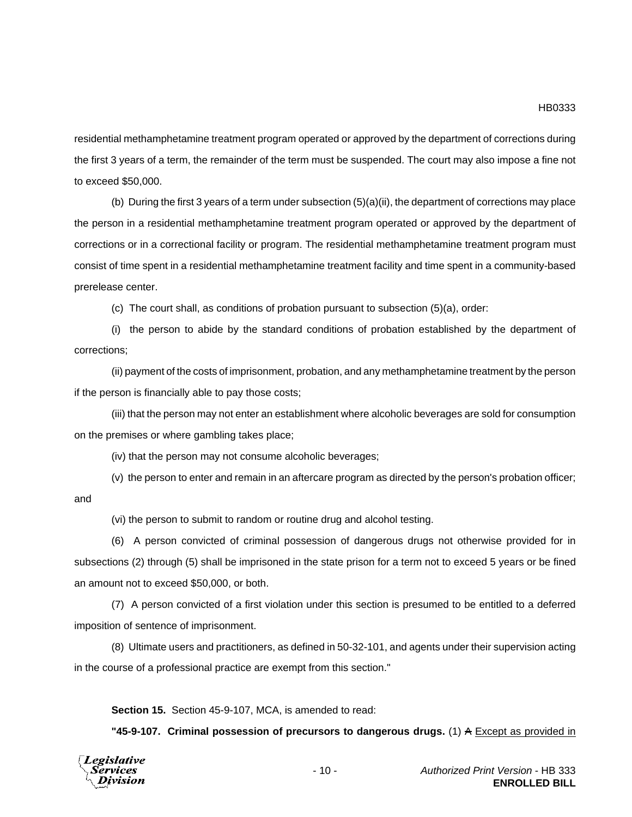residential methamphetamine treatment program operated or approved by the department of corrections during the first 3 years of a term, the remainder of the term must be suspended. The court may also impose a fine not to exceed \$50,000.

(b) During the first 3 years of a term under subsection (5)(a)(ii), the department of corrections may place the person in a residential methamphetamine treatment program operated or approved by the department of corrections or in a correctional facility or program. The residential methamphetamine treatment program must consist of time spent in a residential methamphetamine treatment facility and time spent in a community-based prerelease center.

(c) The court shall, as conditions of probation pursuant to subsection (5)(a), order:

(i) the person to abide by the standard conditions of probation established by the department of corrections;

(ii) payment of the costs of imprisonment, probation, and any methamphetamine treatment by the person if the person is financially able to pay those costs;

(iii) that the person may not enter an establishment where alcoholic beverages are sold for consumption on the premises or where gambling takes place;

(iv) that the person may not consume alcoholic beverages;

(v) the person to enter and remain in an aftercare program as directed by the person's probation officer; and

(vi) the person to submit to random or routine drug and alcohol testing.

(6) A person convicted of criminal possession of dangerous drugs not otherwise provided for in subsections (2) through (5) shall be imprisoned in the state prison for a term not to exceed 5 years or be fined an amount not to exceed \$50,000, or both.

(7) A person convicted of a first violation under this section is presumed to be entitled to a deferred imposition of sentence of imprisonment.

(8) Ultimate users and practitioners, as defined in 50-32-101, and agents under their supervision acting in the course of a professional practice are exempt from this section."

**Section 15.** Section 45-9-107, MCA, is amended to read:

**"45-9-107. Criminal possession of precursors to dangerous drugs.** (1) A Except as provided in

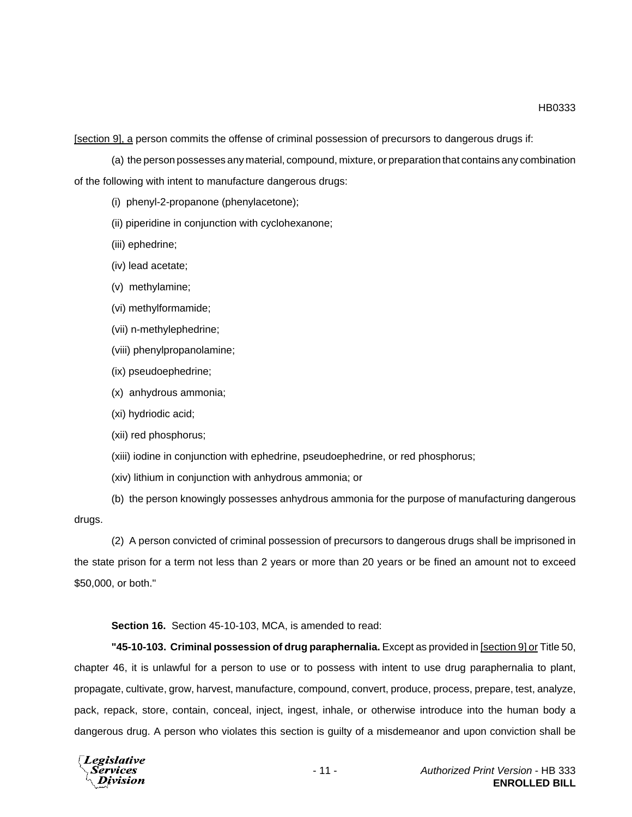HB0333

[section 9], a person commits the offense of criminal possession of precursors to dangerous drugs if:

(a) the person possesses any material, compound, mixture, or preparation that contains any combination of the following with intent to manufacture dangerous drugs:

(i) phenyl-2-propanone (phenylacetone);

(ii) piperidine in conjunction with cyclohexanone;

(iii) ephedrine;

(iv) lead acetate;

(v) methylamine;

(vi) methylformamide;

(vii) n-methylephedrine;

(viii) phenylpropanolamine;

(ix) pseudoephedrine;

(x) anhydrous ammonia;

(xi) hydriodic acid;

(xii) red phosphorus;

(xiii) iodine in conjunction with ephedrine, pseudoephedrine, or red phosphorus;

(xiv) lithium in conjunction with anhydrous ammonia; or

(b) the person knowingly possesses anhydrous ammonia for the purpose of manufacturing dangerous drugs.

(2) A person convicted of criminal possession of precursors to dangerous drugs shall be imprisoned in the state prison for a term not less than 2 years or more than 20 years or be fined an amount not to exceed \$50,000, or both."

**Section 16.** Section 45-10-103, MCA, is amended to read:

**"45-10-103. Criminal possession of drug paraphernalia.** Except as provided in [section 9] or Title 50, chapter 46, it is unlawful for a person to use or to possess with intent to use drug paraphernalia to plant, propagate, cultivate, grow, harvest, manufacture, compound, convert, produce, process, prepare, test, analyze, pack, repack, store, contain, conceal, inject, ingest, inhale, or otherwise introduce into the human body a dangerous drug. A person who violates this section is guilty of a misdemeanor and upon conviction shall be

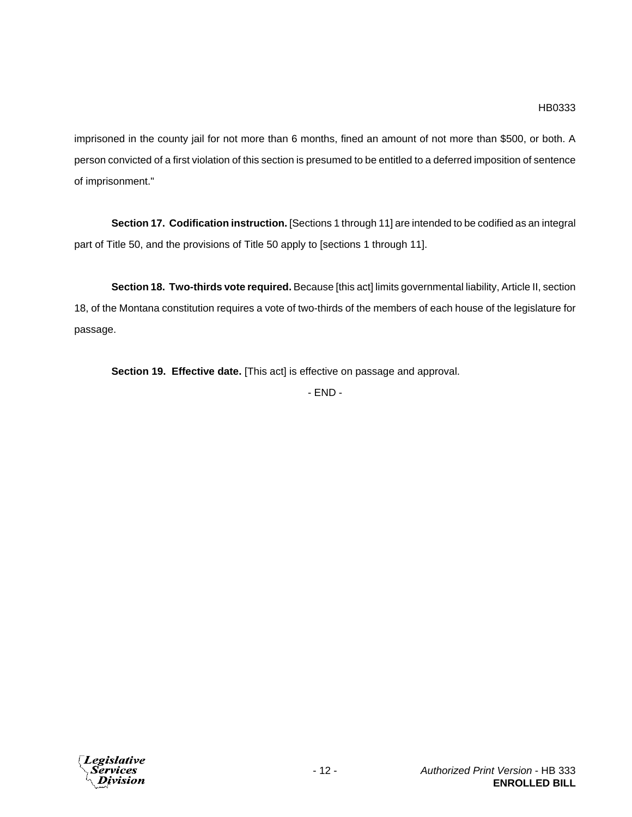imprisoned in the county jail for not more than 6 months, fined an amount of not more than \$500, or both. A person convicted of a first violation of this section is presumed to be entitled to a deferred imposition of sentence of imprisonment."

**Section 17. Codification instruction.** [Sections 1 through 11] are intended to be codified as an integral part of Title 50, and the provisions of Title 50 apply to [sections 1 through 11].

**Section 18. Two-thirds vote required.** Because [this act] limits governmental liability, Article II, section 18, of the Montana constitution requires a vote of two-thirds of the members of each house of the legislature for passage.

**Section 19. Effective date.** [This act] is effective on passage and approval.

- END -

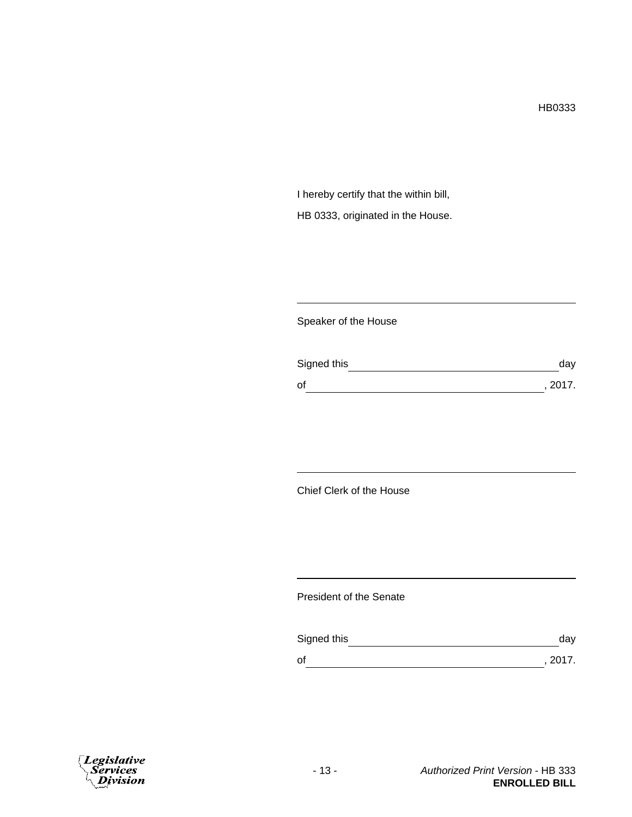I hereby certify that the within bill, HB 0333, originated in the House.

# Speaker of the House

| Signed this | day     |
|-------------|---------|
| οf          | , 2017. |

# Chief Clerk of the House

## President of the Senate

| Signed this | day     |
|-------------|---------|
| 0f          | , 2017. |